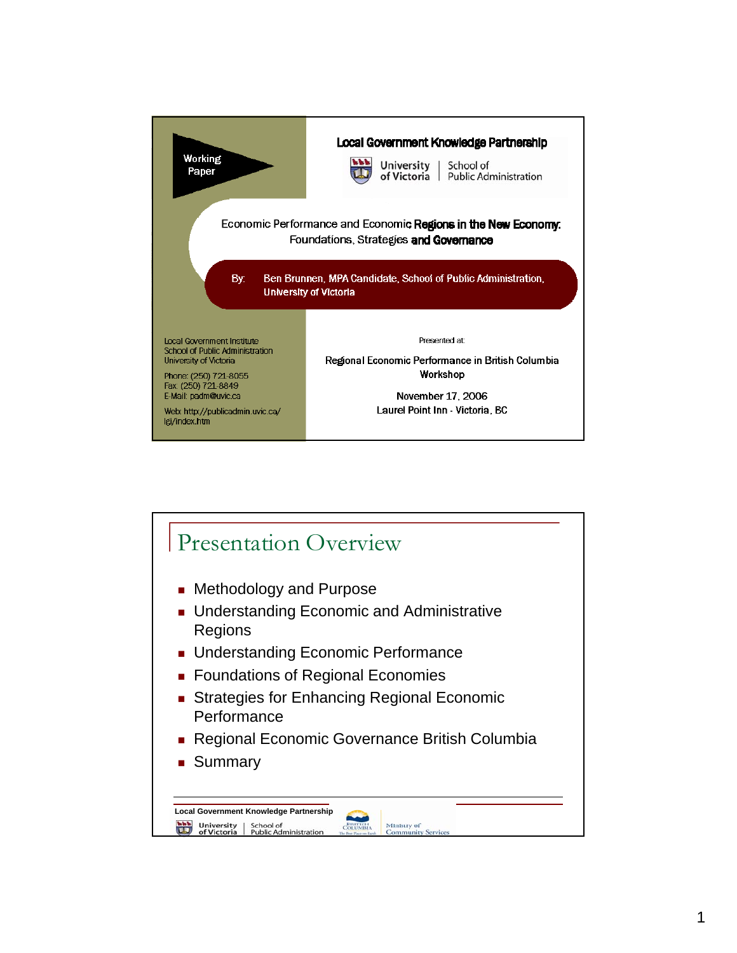

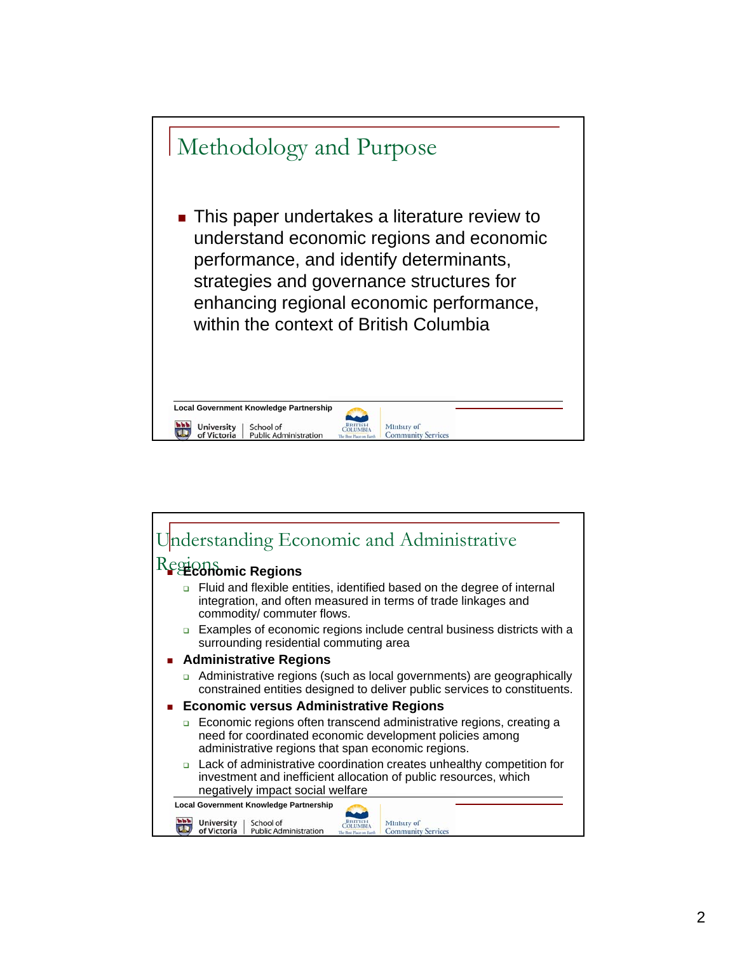

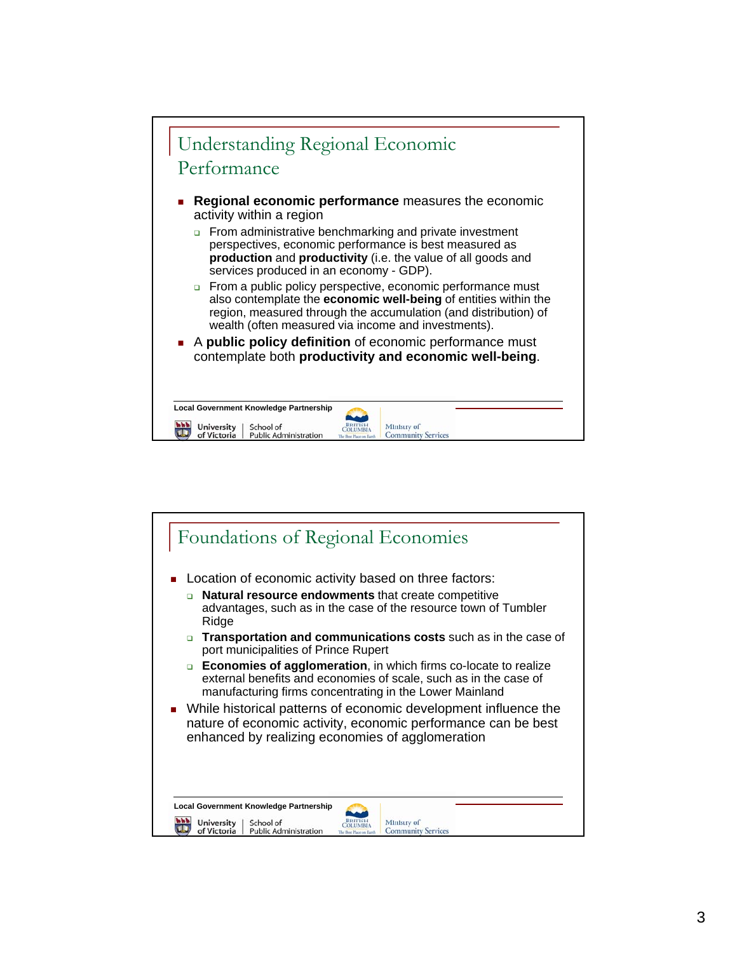

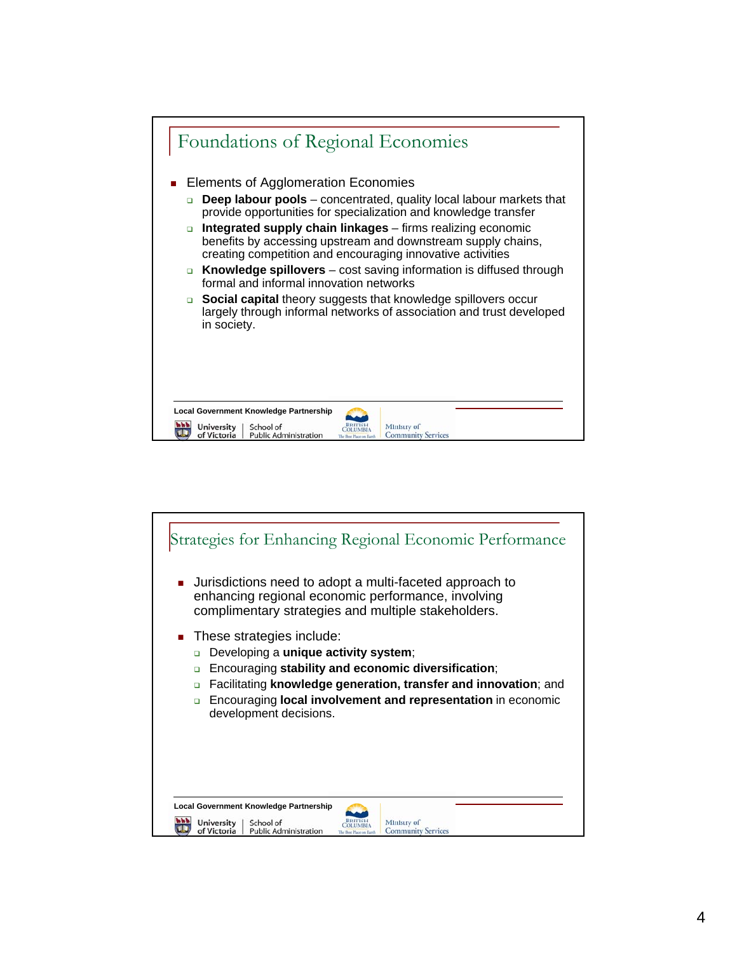

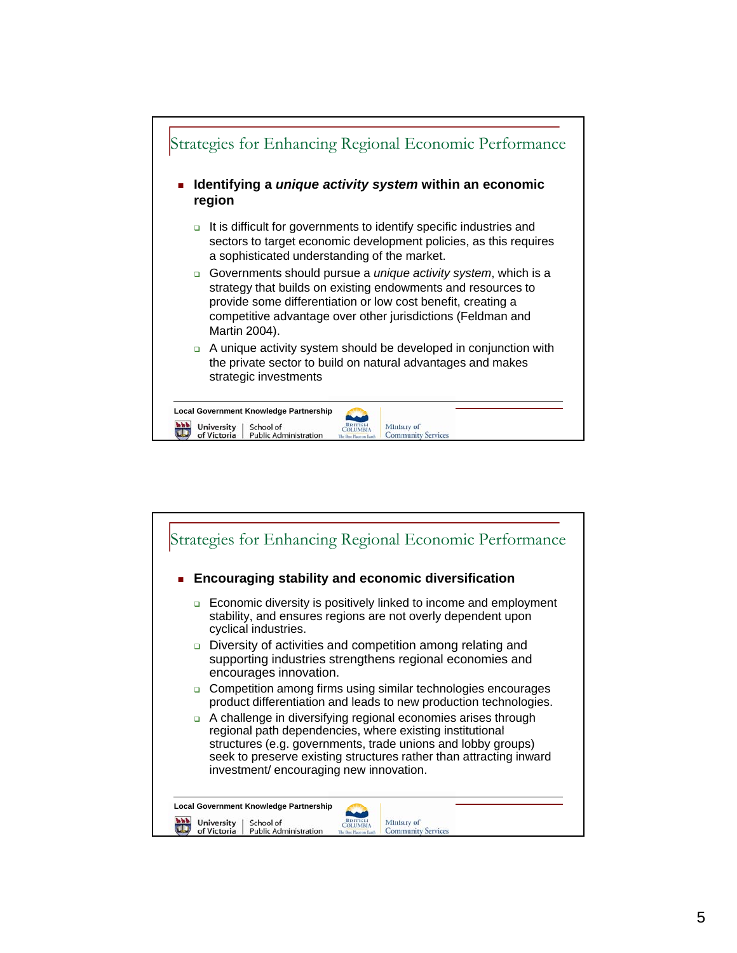

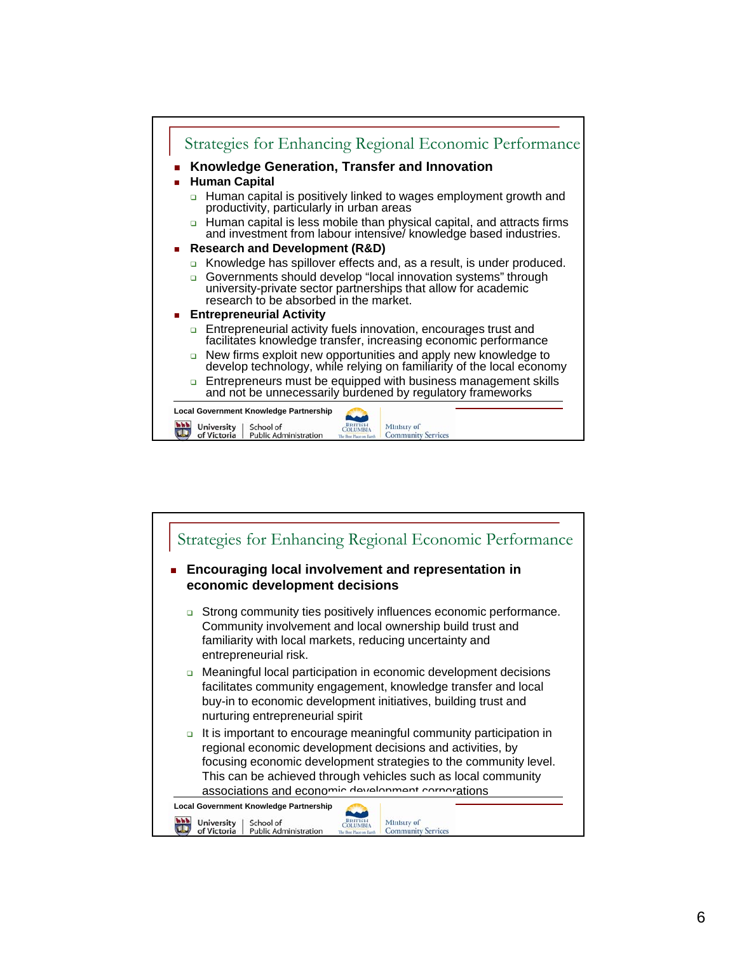

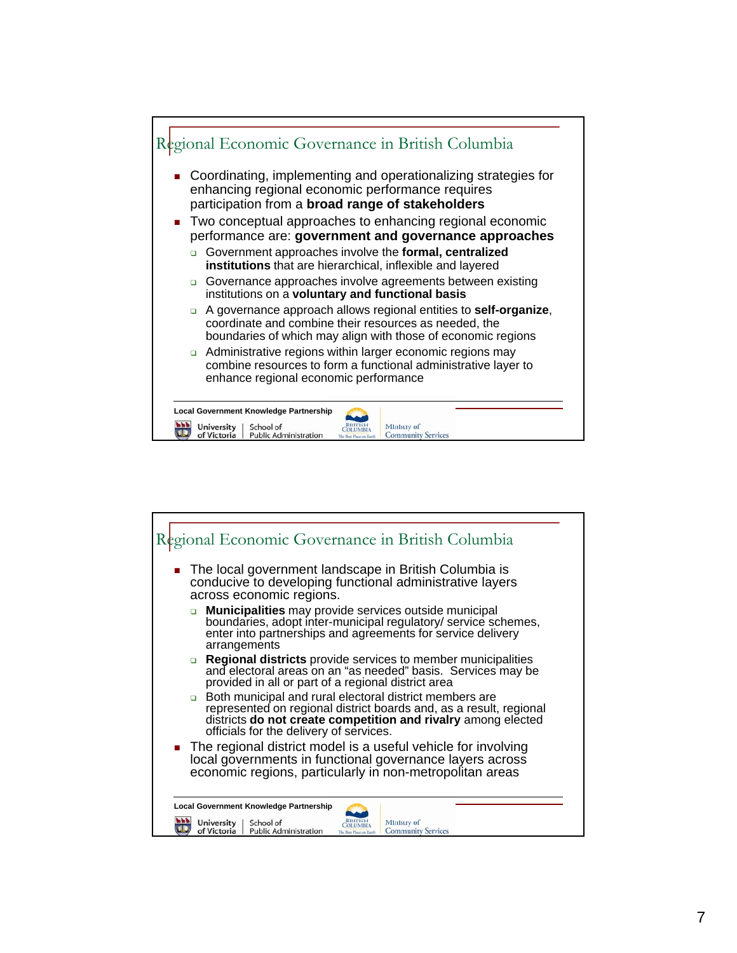